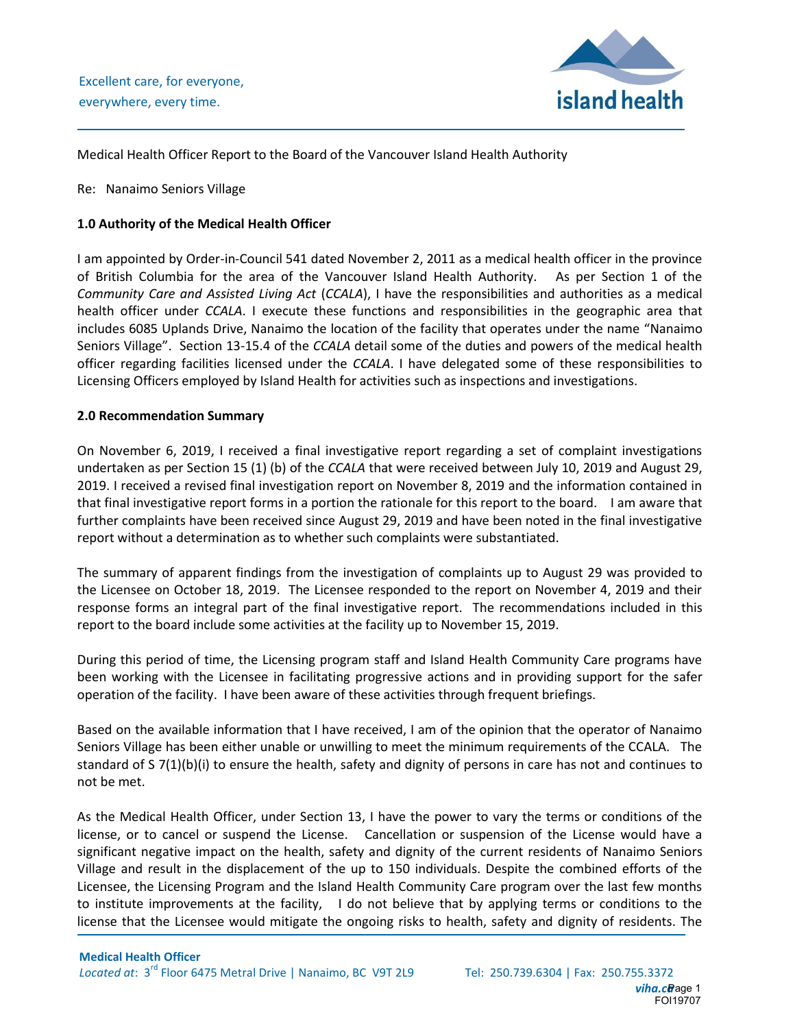

Medical Health Officer Report to the Board of the Vancouver Island Health Authority

Re: Nanaimo Seniors Village

## **1.0 Authority of the Medical Health Officer**

I am appointed by Order-in-Council 541 dated November 2, 2011 as a medical health officer in the province of British Columbia for the area of the Vancouver Island Health Authority. As per Section 1 of the *Community Care and Assisted Living Act* (*CCALA*), I have the responsibilities and authorities as a medical health officer under *CCALA*. I execute these functions and responsibilities in the geographic area that includes 6085 Uplands Drive, Nanaimo the location of the facility that operates under the name "Nanaimo Seniors Village". Section 13-15.4 of the *CCALA* detail some of the duties and powers of the medical health officer regarding facilities licensed under the *CCALA*. I have delegated some of these responsibilities to Licensing Officers employed by Island Health for activities such as inspections and investigations.

## **2.0 Recommendation Summary**

On November 6, 2019, I received a final investigative report regarding a set of complaint investigations undertaken as per Section 15 (1) (b) of the *CCALA* that were received between July 10, 2019 and August 29, 2019. I received a revised final investigation report on November 8, 2019 and the information contained in that final investigative report forms in a portion the rationale for this report to the board. I am aware that further complaints have been received since August 29, 2019 and have been noted in the final investigative report without a determination as to whether such complaints were substantiated.

The summary of apparent findings from the investigation of complaints up to August 29 was provided to the Licensee on October 18, 2019. The Licensee responded to the report on November 4, 2019 and their response forms an integral part of the final investigative report. The recommendations included in this report to the board include some activities at the facility up to November 15, 2019.

During this period of time, the Licensing program staff and Island Health Community Care programs have been working with the Licensee in facilitating progressive actions and in providing support for the safer operation of the facility. I have been aware of these activities through frequent briefings.

Based on the available information that I have received, I am of the opinion that the operator of Nanaimo Seniors Village has been either unable or unwilling to meet the minimum requirements of the CCALA. The standard of S 7(1)(b)(i) to ensure the health, safety and dignity of persons in care has not and continues to not be met.

As the Medical Health Officer, under Section 13, I have the power to vary the terms or conditions of the license, or to cancel or suspend the License. Cancellation or suspension of the License would have a significant negative impact on the health, safety and dignity of the current residents of Nanaimo Seniors Village and result in the displacement of the up to 150 individuals. Despite the combined efforts of the Licensee, the Licensing Program and the Island Health Community Care program over the last few months to institute improvements at the facility, I do not believe that by applying terms or conditions to the license that the Licensee would mitigate the ongoing risks to health, safety and dignity of residents. The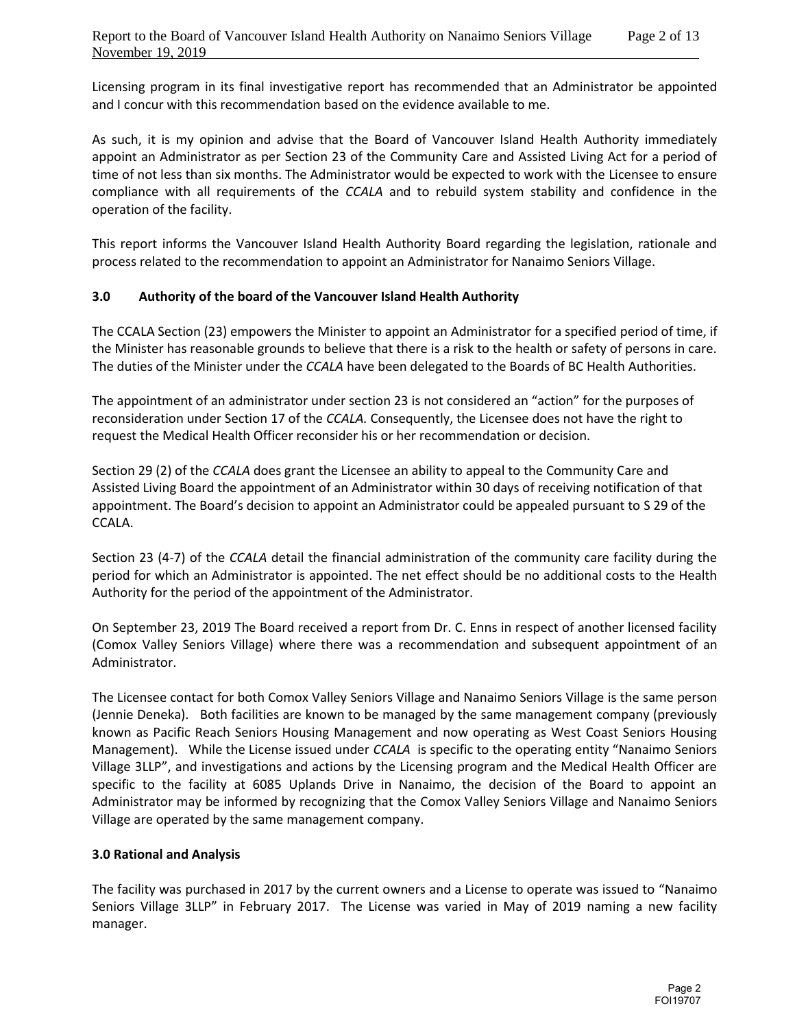Licensing program in its final investigative report has recommended that an Administrator be appointed and I concur with this recommendation based on the evidence available to me.

As such, it is my opinion and advise that the Board of Vancouver Island Health Authority immediately appoint an Administrator as per Section 23 of the Community Care and Assisted Living Act for a period of time of not less than six months. The Administrator would be expected to work with the Licensee to ensure compliance with all requirements of the *CCALA* and to rebuild system stability and confidence in the operation of the facility.

This report informs the Vancouver Island Health Authority Board regarding the legislation, rationale and process related to the recommendation to appoint an Administrator for Nanaimo Seniors Village.

## **3.0 Authority of the board of the Vancouver Island Health Authority**

The CCALA Section (23) empowers the Minister to appoint an Administrator for a specified period of time, if the Minister has reasonable grounds to believe that there is a risk to the health or safety of persons in care. The duties of the Minister under the *CCALA* have been delegated to the Boards of BC Health Authorities.

The appointment of an administrator under section 23 is not considered an "action" for the purposes of reconsideration under Section 17 of the *CCALA.* Consequently, the Licensee does not have the right to request the Medical Health Officer reconsider his or her recommendation or decision.

Section 29 (2) of the *CCALA* does grant the Licensee an ability to appeal to the Community Care and Assisted Living Board the appointment of an Administrator within 30 days of receiving notification of that appointment. The Board's decision to appoint an Administrator could be appealed pursuant to S 29 of the CCALA.

Section 23 (4-7) of the *CCALA* detail the financial administration of the community care facility during the period for which an Administrator is appointed. The net effect should be no additional costs to the Health Authority for the period of the appointment of the Administrator.

On September 23, 2019 The Board received a report from Dr. C. Enns in respect of another licensed facility (Comox Valley Seniors Village) where there was a recommendation and subsequent appointment of an Administrator.

The Licensee contact for both Comox Valley Seniors Village and Nanaimo Seniors Village is the same person (Jennie Deneka). Both facilities are known to be managed by the same management company (previously known as Pacific Reach Seniors Housing Management and now operating as West Coast Seniors Housing Management). While the License issued under *CCALA* is specific to the operating entity "Nanaimo Seniors Village 3LLP", and investigations and actions by the Licensing program and the Medical Health Officer are specific to the facility at 6085 Uplands Drive in Nanaimo, the decision of the Board to appoint an Administrator may be informed by recognizing that the Comox Valley Seniors Village and Nanaimo Seniors Village are operated by the same management company.

#### **3.0 Rational and Analysis**

The facility was purchased in 2017 by the current owners and a License to operate was issued to "Nanaimo Seniors Village 3LLP" in February 2017. The License was varied in May of 2019 naming a new facility manager.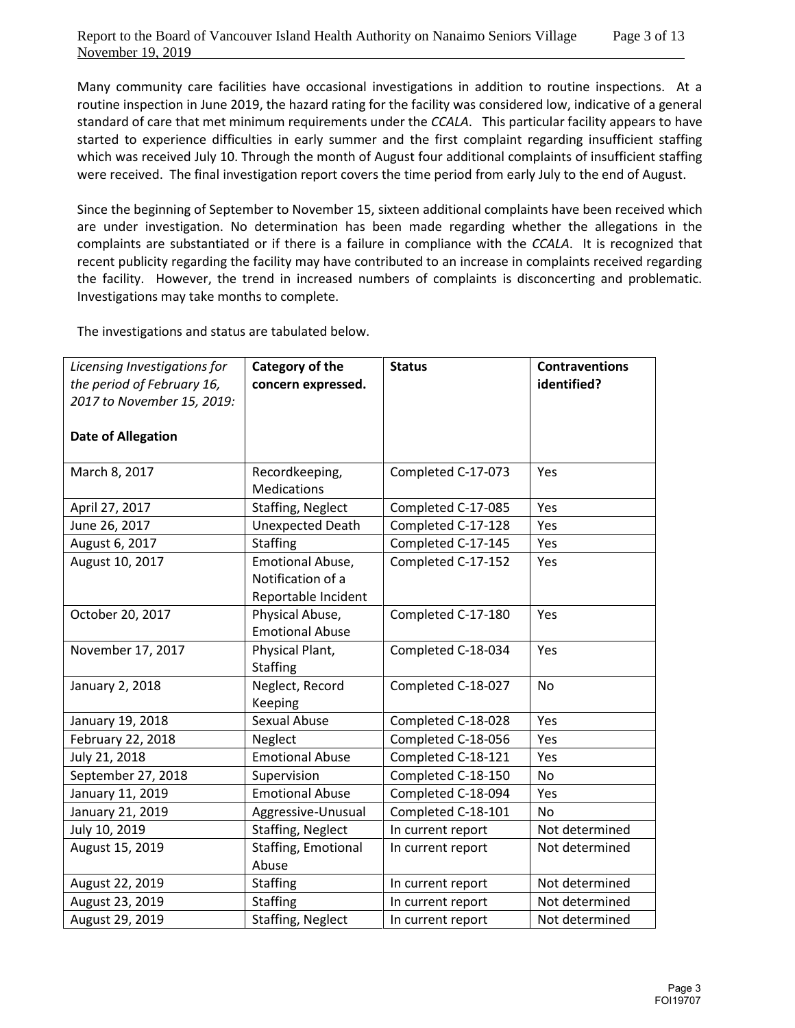Many community care facilities have occasional investigations in addition to routine inspections. At a routine inspection in June 2019, the hazard rating for the facility was considered low, indicative of a general standard of care that met minimum requirements under the *CCALA*. This particular facility appears to have started to experience difficulties in early summer and the first complaint regarding insufficient staffing which was received July 10. Through the month of August four additional complaints of insufficient staffing were received. The final investigation report covers the time period from early July to the end of August.

Since the beginning of September to November 15, sixteen additional complaints have been received which are under investigation. No determination has been made regarding whether the allegations in the complaints are substantiated or if there is a failure in compliance with the *CCALA*. It is recognized that recent publicity regarding the facility may have contributed to an increase in complaints received regarding the facility. However, the trend in increased numbers of complaints is disconcerting and problematic. Investigations may take months to complete.

The investigations and status are tabulated below.

| Licensing Investigations for<br>the period of February 16,<br>2017 to November 15, 2019: | Category of the<br>concern expressed.                        | <b>Status</b>      | <b>Contraventions</b><br>identified? |
|------------------------------------------------------------------------------------------|--------------------------------------------------------------|--------------------|--------------------------------------|
| <b>Date of Allegation</b>                                                                |                                                              |                    |                                      |
| March 8, 2017                                                                            | Recordkeeping,<br><b>Medications</b>                         | Completed C-17-073 | Yes                                  |
| April 27, 2017                                                                           | <b>Staffing, Neglect</b>                                     | Completed C-17-085 | Yes                                  |
| June 26, 2017                                                                            | <b>Unexpected Death</b>                                      | Completed C-17-128 | Yes                                  |
| August 6, 2017                                                                           | <b>Staffing</b>                                              | Completed C-17-145 | Yes                                  |
| August 10, 2017                                                                          | Emotional Abuse,<br>Notification of a<br>Reportable Incident | Completed C-17-152 | Yes                                  |
| October 20, 2017                                                                         | Physical Abuse,<br><b>Emotional Abuse</b>                    | Completed C-17-180 | Yes                                  |
| November 17, 2017                                                                        | Physical Plant,<br><b>Staffing</b>                           | Completed C-18-034 | Yes                                  |
| January 2, 2018                                                                          | Neglect, Record<br>Keeping                                   | Completed C-18-027 | <b>No</b>                            |
| January 19, 2018                                                                         | <b>Sexual Abuse</b>                                          | Completed C-18-028 | Yes                                  |
| February 22, 2018                                                                        | Neglect                                                      | Completed C-18-056 | Yes                                  |
| July 21, 2018                                                                            | <b>Emotional Abuse</b>                                       | Completed C-18-121 | Yes                                  |
| September 27, 2018                                                                       | Supervision                                                  | Completed C-18-150 | <b>No</b>                            |
| January 11, 2019                                                                         | <b>Emotional Abuse</b>                                       | Completed C-18-094 | Yes                                  |
| January 21, 2019                                                                         | Aggressive-Unusual                                           | Completed C-18-101 | N <sub>o</sub>                       |
| July 10, 2019                                                                            | <b>Staffing, Neglect</b>                                     | In current report  | Not determined                       |
| August 15, 2019                                                                          | Staffing, Emotional<br>Abuse                                 | In current report  | Not determined                       |
| August 22, 2019                                                                          | <b>Staffing</b>                                              | In current report  | Not determined                       |
| August 23, 2019                                                                          | <b>Staffing</b>                                              | In current report  | Not determined                       |
| August 29, 2019                                                                          | Staffing, Neglect                                            | In current report  | Not determined                       |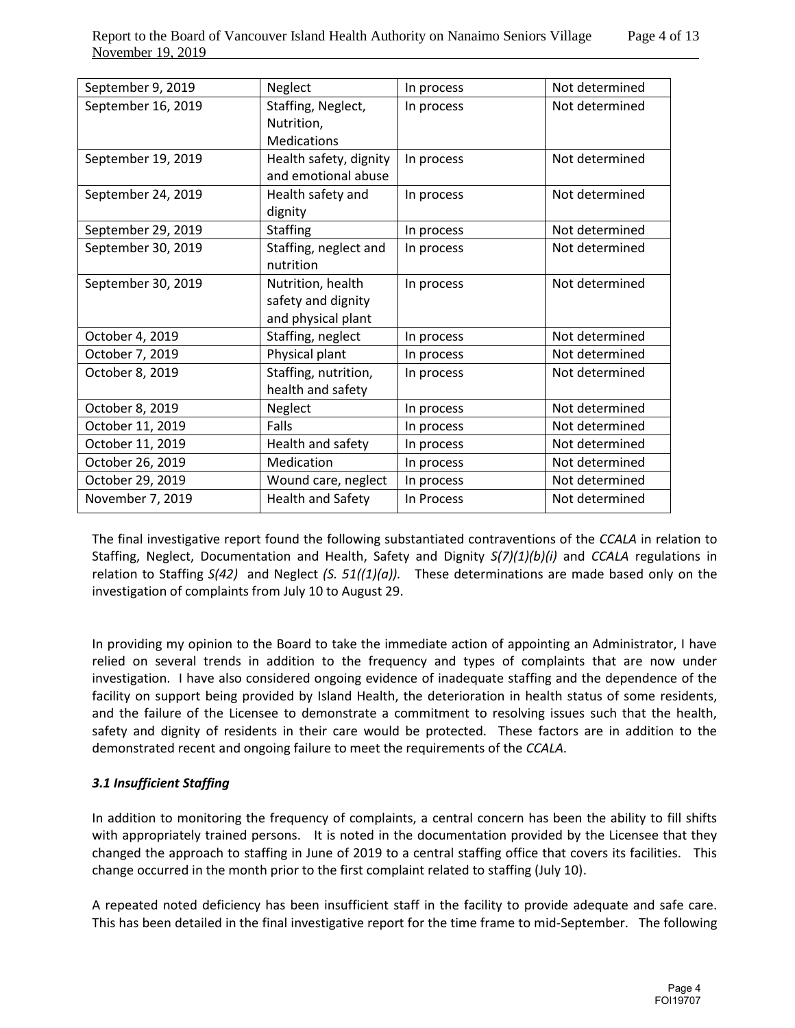| September 9, 2019  | Neglect                  | In process | Not determined |
|--------------------|--------------------------|------------|----------------|
| September 16, 2019 | Staffing, Neglect,       | In process | Not determined |
|                    | Nutrition,               |            |                |
|                    | <b>Medications</b>       |            |                |
| September 19, 2019 | Health safety, dignity   | In process | Not determined |
|                    | and emotional abuse      |            |                |
| September 24, 2019 | Health safety and        | In process | Not determined |
|                    | dignity                  |            |                |
| September 29, 2019 | <b>Staffing</b>          | In process | Not determined |
| September 30, 2019 | Staffing, neglect and    | In process | Not determined |
|                    | nutrition                |            |                |
| September 30, 2019 | Nutrition, health        | In process | Not determined |
|                    | safety and dignity       |            |                |
|                    | and physical plant       |            |                |
| October 4, 2019    | Staffing, neglect        | In process | Not determined |
| October 7, 2019    | Physical plant           | In process | Not determined |
| October 8, 2019    | Staffing, nutrition,     | In process | Not determined |
|                    | health and safety        |            |                |
| October 8, 2019    | Neglect                  | In process | Not determined |
| October 11, 2019   | Falls                    | In process | Not determined |
| October 11, 2019   | Health and safety        | In process | Not determined |
| October 26, 2019   | Medication               | In process | Not determined |
| October 29, 2019   | Wound care, neglect      | In process | Not determined |
| November 7, 2019   | <b>Health and Safety</b> |            | Not determined |

The final investigative report found the following substantiated contraventions of the *CCALA* in relation to Staffing, Neglect, Documentation and Health, Safety and Dignity *S(7)(1)(b)(i)* and *CCALA* regulations in relation to Staffing *S(42)* and Neglect *(S. 51((1)(a)).* These determinations are made based only on the investigation of complaints from July 10 to August 29.

In providing my opinion to the Board to take the immediate action of appointing an Administrator, I have relied on several trends in addition to the frequency and types of complaints that are now under investigation. I have also considered ongoing evidence of inadequate staffing and the dependence of the facility on support being provided by Island Health, the deterioration in health status of some residents, and the failure of the Licensee to demonstrate a commitment to resolving issues such that the health, safety and dignity of residents in their care would be protected. These factors are in addition to the demonstrated recent and ongoing failure to meet the requirements of the *CCALA*.

# *3.1 Insufficient Staffing*

In addition to monitoring the frequency of complaints, a central concern has been the ability to fill shifts with appropriately trained persons. It is noted in the documentation provided by the Licensee that they changed the approach to staffing in June of 2019 to a central staffing office that covers its facilities. This change occurred in the month prior to the first complaint related to staffing (July 10).

A repeated noted deficiency has been insufficient staff in the facility to provide adequate and safe care. This has been detailed in the final investigative report for the time frame to mid-September. The following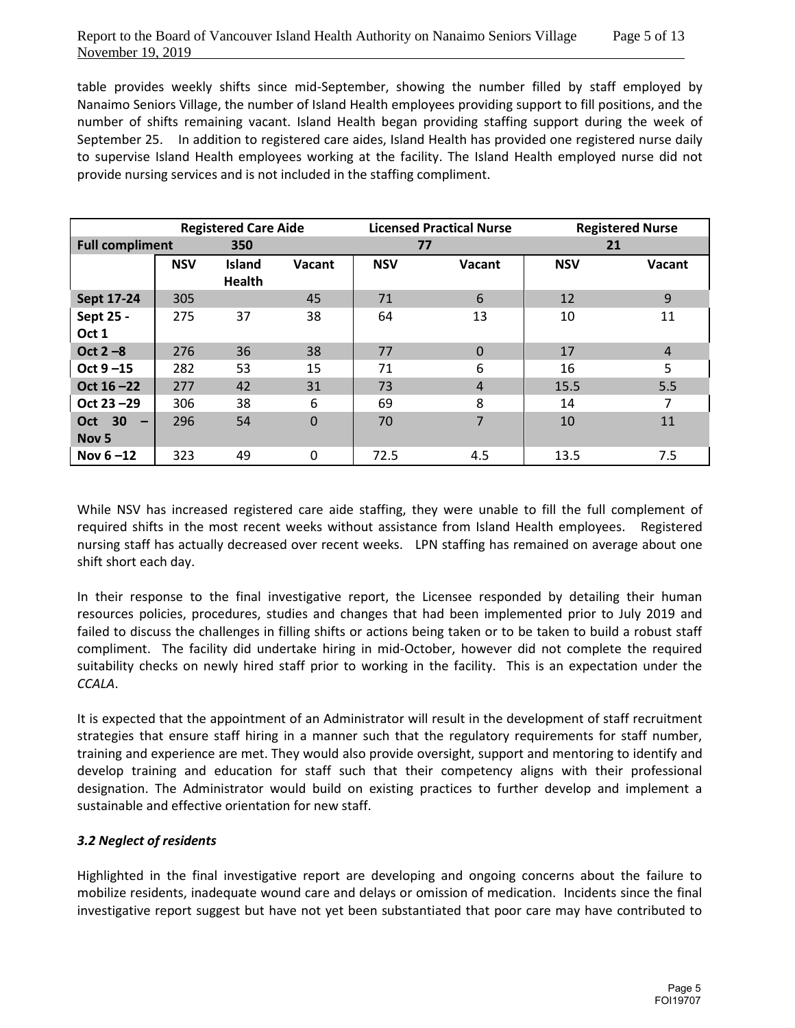table provides weekly shifts since mid-September, showing the number filled by staff employed by Nanaimo Seniors Village, the number of Island Health employees providing support to fill positions, and the number of shifts remaining vacant. Island Health began providing staffing support during the week of September 25. In addition to registered care aides, Island Health has provided one registered nurse daily to supervise Island Health employees working at the facility. The Island Health employed nurse did not provide nursing services and is not included in the staffing compliment.

|                                                               | <b>Registered Care Aide</b> |                                | <b>Licensed Practical Nurse</b> |            | <b>Registered Nurse</b> |            |                |
|---------------------------------------------------------------|-----------------------------|--------------------------------|---------------------------------|------------|-------------------------|------------|----------------|
| <b>Full compliment</b><br>350                                 |                             |                                | 77                              |            | 21                      |            |                |
|                                                               | <b>NSV</b>                  | <b>Island</b><br><b>Health</b> | Vacant                          | <b>NSV</b> | Vacant                  | <b>NSV</b> | Vacant         |
| Sept 17-24                                                    | 305                         |                                | 45                              | 71         | 6                       | 12         | 9              |
| Sept 25 -<br>Oct 1                                            | 275                         | 37                             | 38                              | 64         | 13                      | 10         | 11             |
| Oct $2 - 8$                                                   | 276                         | 36                             | 38                              | 77         | $\Omega$                | 17         | $\overline{4}$ |
| Oct $9 - 15$                                                  | 282                         | 53                             | 15                              | 71         | 6                       | 16         | 5              |
| Oct $16 - 22$                                                 | 277                         | 42                             | 31                              | 73         | $\overline{4}$          | 15.5       | 5.5            |
| Oct 23 - 29                                                   | 306                         | 38                             | 6                               | 69         | 8                       | 14         | 7              |
| <b>Oct 30</b><br>$\overline{\phantom{m}}$<br>Nov <sub>5</sub> | 296                         | 54                             | $\mathbf 0$                     | 70         | 7                       | 10         | 11             |
| Nov $6 - 12$                                                  | 323                         | 49                             | $\Omega$                        | 72.5       | 4.5                     | 13.5       | 7.5            |

While NSV has increased registered care aide staffing, they were unable to fill the full complement of required shifts in the most recent weeks without assistance from Island Health employees. Registered nursing staff has actually decreased over recent weeks. LPN staffing has remained on average about one shift short each day.

In their response to the final investigative report, the Licensee responded by detailing their human resources policies, procedures, studies and changes that had been implemented prior to July 2019 and failed to discuss the challenges in filling shifts or actions being taken or to be taken to build a robust staff compliment. The facility did undertake hiring in mid-October, however did not complete the required suitability checks on newly hired staff prior to working in the facility. This is an expectation under the *CCALA*.

It is expected that the appointment of an Administrator will result in the development of staff recruitment strategies that ensure staff hiring in a manner such that the regulatory requirements for staff number, training and experience are met. They would also provide oversight, support and mentoring to identify and develop training and education for staff such that their competency aligns with their professional designation. The Administrator would build on existing practices to further develop and implement a sustainable and effective orientation for new staff.

# *3.2 Neglect of residents*

Highlighted in the final investigative report are developing and ongoing concerns about the failure to mobilize residents, inadequate wound care and delays or omission of medication. Incidents since the final investigative report suggest but have not yet been substantiated that poor care may have contributed to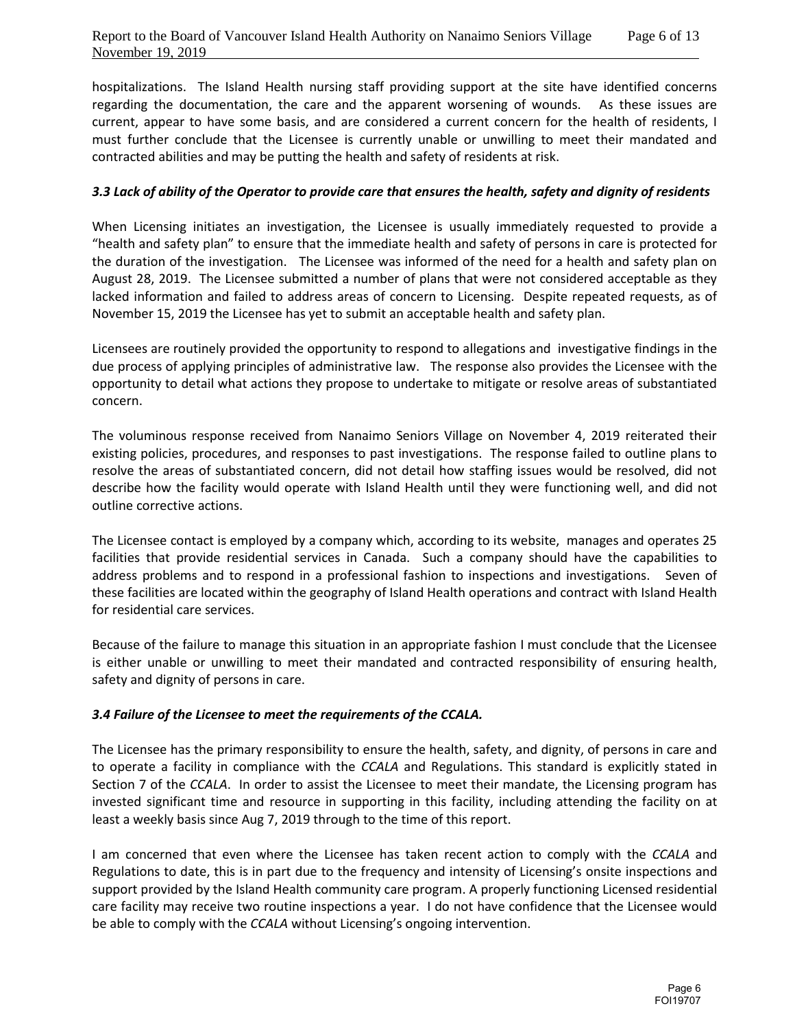hospitalizations. The Island Health nursing staff providing support at the site have identified concerns regarding the documentation, the care and the apparent worsening of wounds. As these issues are current, appear to have some basis, and are considered a current concern for the health of residents, I must further conclude that the Licensee is currently unable or unwilling to meet their mandated and contracted abilities and may be putting the health and safety of residents at risk.

# *3.3 Lack of ability of the Operator to provide care that ensures the health, safety and dignity of residents*

When Licensing initiates an investigation, the Licensee is usually immediately requested to provide a "health and safety plan" to ensure that the immediate health and safety of persons in care is protected for the duration of the investigation. The Licensee was informed of the need for a health and safety plan on August 28, 2019. The Licensee submitted a number of plans that were not considered acceptable as they lacked information and failed to address areas of concern to Licensing. Despite repeated requests, as of November 15, 2019 the Licensee has yet to submit an acceptable health and safety plan.

Licensees are routinely provided the opportunity to respond to allegations and investigative findings in the due process of applying principles of administrative law. The response also provides the Licensee with the opportunity to detail what actions they propose to undertake to mitigate or resolve areas of substantiated concern.

The voluminous response received from Nanaimo Seniors Village on November 4, 2019 reiterated their existing policies, procedures, and responses to past investigations. The response failed to outline plans to resolve the areas of substantiated concern, did not detail how staffing issues would be resolved, did not describe how the facility would operate with Island Health until they were functioning well, and did not outline corrective actions.

The Licensee contact is employed by a company which, according to its website, manages and operates 25 facilities that provide residential services in Canada. Such a company should have the capabilities to address problems and to respond in a professional fashion to inspections and investigations. Seven of these facilities are located within the geography of Island Health operations and contract with Island Health for residential care services.

Because of the failure to manage this situation in an appropriate fashion I must conclude that the Licensee is either unable or unwilling to meet their mandated and contracted responsibility of ensuring health, safety and dignity of persons in care.

# *3.4 Failure of the Licensee to meet the requirements of the CCALA.*

The Licensee has the primary responsibility to ensure the health, safety, and dignity, of persons in care and to operate a facility in compliance with the *CCALA* and Regulations. This standard is explicitly stated in Section 7 of the *CCALA*. In order to assist the Licensee to meet their mandate, the Licensing program has invested significant time and resource in supporting in this facility, including attending the facility on at least a weekly basis since Aug 7, 2019 through to the time of this report.

I am concerned that even where the Licensee has taken recent action to comply with the *CCALA* and Regulations to date, this is in part due to the frequency and intensity of Licensing's onsite inspections and support provided by the Island Health community care program. A properly functioning Licensed residential care facility may receive two routine inspections a year. I do not have confidence that the Licensee would be able to comply with the *CCALA* without Licensing's ongoing intervention.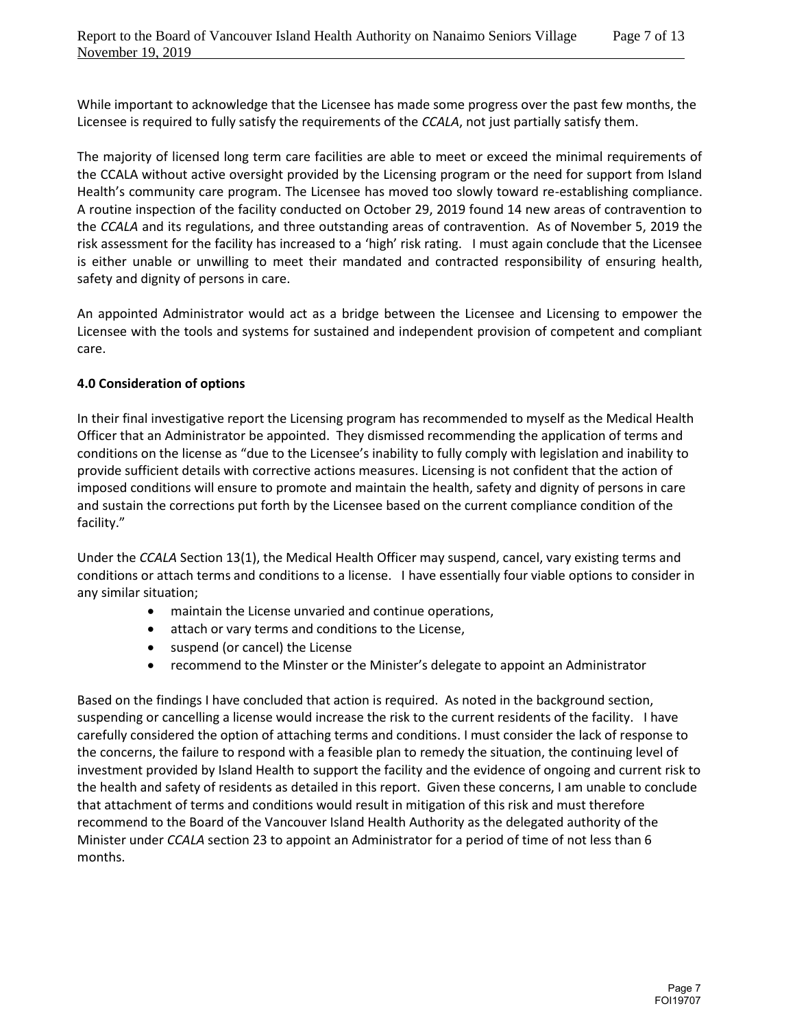While important to acknowledge that the Licensee has made some progress over the past few months, the Licensee is required to fully satisfy the requirements of the *CCALA*, not just partially satisfy them.

The majority of licensed long term care facilities are able to meet or exceed the minimal requirements of the CCALA without active oversight provided by the Licensing program or the need for support from Island Health's community care program. The Licensee has moved too slowly toward re-establishing compliance. A routine inspection of the facility conducted on October 29, 2019 found 14 new areas of contravention to the *CCALA* and its regulations, and three outstanding areas of contravention. As of November 5, 2019 the risk assessment for the facility has increased to a 'high' risk rating. I must again conclude that the Licensee is either unable or unwilling to meet their mandated and contracted responsibility of ensuring health, safety and dignity of persons in care.

An appointed Administrator would act as a bridge between the Licensee and Licensing to empower the Licensee with the tools and systems for sustained and independent provision of competent and compliant care.

## **4.0 Consideration of options**

In their final investigative report the Licensing program has recommended to myself as the Medical Health Officer that an Administrator be appointed. They dismissed recommending the application of terms and conditions on the license as "due to the Licensee's inability to fully comply with legislation and inability to provide sufficient details with corrective actions measures. Licensing is not confident that the action of imposed conditions will ensure to promote and maintain the health, safety and dignity of persons in care and sustain the corrections put forth by the Licensee based on the current compliance condition of the facility."

Under the *CCALA* Section 13(1), the Medical Health Officer may suspend, cancel, vary existing terms and conditions or attach terms and conditions to a license. I have essentially four viable options to consider in any similar situation;

- maintain the License unvaried and continue operations,
- attach or vary terms and conditions to the License,
- suspend (or cancel) the License
- recommend to the Minster or the Minister's delegate to appoint an Administrator

Based on the findings I have concluded that action is required. As noted in the background section, suspending or cancelling a license would increase the risk to the current residents of the facility. I have carefully considered the option of attaching terms and conditions. I must consider the lack of response to the concerns, the failure to respond with a feasible plan to remedy the situation, the continuing level of investment provided by Island Health to support the facility and the evidence of ongoing and current risk to the health and safety of residents as detailed in this report. Given these concerns, I am unable to conclude that attachment of terms and conditions would result in mitigation of this risk and must therefore recommend to the Board of the Vancouver Island Health Authority as the delegated authority of the Minister under *CCALA* section 23 to appoint an Administrator for a period of time of not less than 6 months.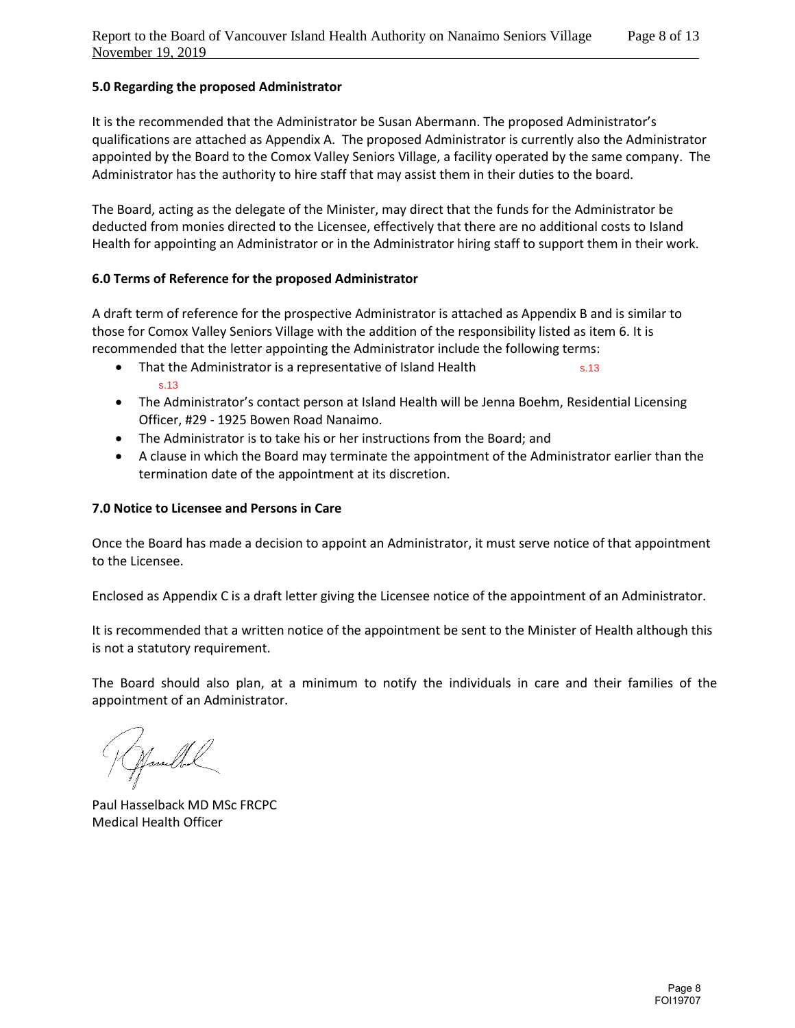# **5.0 Regarding the proposed Administrator**

It is the recommended that the Administrator be Susan Abermann. The proposed Administrator's qualifications are attached as Appendix A. The proposed Administrator is currently also the Administrator appointed by the Board to the Comox Valley Seniors Village, a facility operated by the same company. The Administrator has the authority to hire staff that may assist them in their duties to the board.

The Board, acting as the delegate of the Minister, may direct that the funds for the Administrator be deducted from monies directed to the Licensee, effectively that there are no additional costs to Island Health for appointing an Administrator or in the Administrator hiring staff to support them in their work.

#### **6.0 Terms of Reference for the proposed Administrator**

A draft term of reference for the prospective Administrator is attached as Appendix B and is similar to those for Comox Valley Seniors Village with the addition of the responsibility listed as item 6. It is recommended that the letter appointing the Administrator include the following terms:

- That the Administrator is a representative of Island Health s.13 s.13
- The Administrator's contact person at Island Health will be Jenna Boehm, Residential Licensing Officer, #29 - 1925 Bowen Road Nanaimo.
- The Administrator is to take his or her instructions from the Board; and
- A clause in which the Board may terminate the appointment of the Administrator earlier than the termination date of the appointment at its discretion.

### **7.0 Notice to Licensee and Persons in Care**

Once the Board has made a decision to appoint an Administrator, it must serve notice of that appointment to the Licensee.

Enclosed as Appendix C is a draft letter giving the Licensee notice of the appointment of an Administrator.

It is recommended that a written notice of the appointment be sent to the Minister of Health although this is not a statutory requirement.

The Board should also plan, at a minimum to notify the individuals in care and their families of the appointment of an Administrator.

Hamble

Paul Hasselback MD MSc FRCPC Medical Health Officer